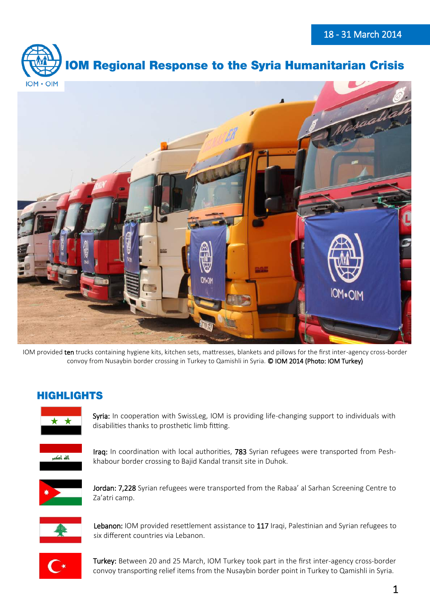



IOM provided ten trucks containing hygiene kits, kitchen sets, mattresses, blankets and pillows for the first inter-agency cross-border convoy from Nusaybin border crossing in Turkey to Qamishli in Syria. © IOM 2014 (Photo: IOM Turkey)

## **HIGHLIGHTS**



Syria: In cooperation with SwissLeg, IOM is providing life-changing support to individuals with disabilities thanks to prosthetic limb fitting.



Iraq: In coordination with local authorities, 783 Syrian refugees were transported from Peshkhabour border crossing to Bajid Kandal transit site in Duhok.



Jordan: 7,228 Syrian refugees were transported from the Rabaa' al Sarhan Screening Centre to Za'atri camp.



Lebanon: IOM provided resettlement assistance to 117 Iraqi, Palestinian and Syrian refugees to six different countries via Lebanon.



Turkey: Between 20 and 25 March, IOM Turkey took part in the first inter-agency cross-border convoy transporting relief items from the Nusaybin border point in Turkey to Qamishli in Syria.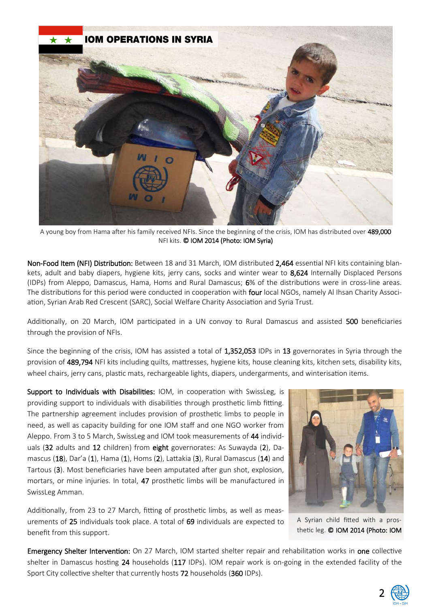

A young boy from Hama after his family received NFIs. Since the beginning of the crisis, IOM has distributed over 489,000 NFI kits. © IOM 2014 (Photo: IOM Syria)

Non-Food Item (NFI) Distribution: Between 18 and 31 March, IOM distributed 2,464 essential NFI kits containing blankets, adult and baby diapers, hygiene kits, jerry cans, socks and winter wear to 8,624 Internally Displaced Persons (IDPs) from Aleppo, Damascus, Hama, Homs and Rural Damascus; 6% of the distributions were in cross-line areas. The distributions for this period were conducted in cooperation with four local NGOs, namely Al Ihsan Charity Association, Syrian Arab Red Crescent (SARC), Social Welfare Charity Association and Syria Trust.

Additionally, on 20 March, IOM participated in a UN convoy to Rural Damascus and assisted 500 beneficiaries through the provision of NFIs.

Since the beginning of the crisis, IOM has assisted a total of 1,352,053 IDPs in 13 governorates in Syria through the provision of 489,794 NFI kits including quilts, mattresses, hygiene kits, house cleaning kits, kitchen sets, disability kits, wheel chairs, jerry cans, plastic mats, rechargeable lights, diapers, undergarments, and winterisation items.

Support to Individuals with Disabilities: IOM, in cooperation with SwissLeg, is providing support to individuals with disabilities through prosthetic limb fitting. The partnership agreement includes provision of prosthetic limbs to people in need, as well as capacity building for one IOM staff and one NGO worker from Aleppo. From 3 to 5 March, SwissLeg and IOM took measurements of 44 individuals (32 adults and 12 children) from eight governorates: As Suwayda (2), Damascus (18), Dar'a (1), Hama (1), Homs (2), Lattakia (3), Rural Damascus (14) and Tartous (3). Most beneficiaries have been amputated after gun shot, explosion, mortars, or mine injuries. In total, 47 prosthetic limbs will be manufactured in SwissLeg Amman.

Additionally, from 23 to 27 March, fitting of prosthetic limbs, as well as measurements of 25 individuals took place. A total of 69 individuals are expected to benefit from this support.



A Syrian child fitted with a prosthetic leg. © IOM 2014 (Photo: IOM

Emergency Shelter Intervention: On 27 March, IOM started shelter repair and rehabilitation works in one collective shelter in Damascus hosting 24 households (117 IDPs). IOM repair work is on-going in the extended facility of the Sport City collective shelter that currently hosts 72 households (360 IDPs).

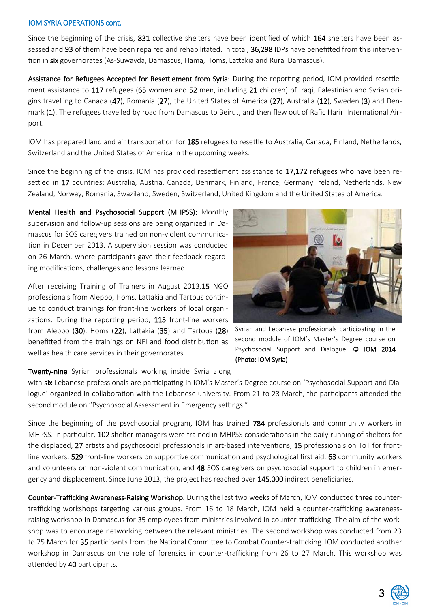### IOM SYRIA OPERATIONS cont.

Since the beginning of the crisis, 831 collective shelters have been identified of which 164 shelters have been assessed and 93 of them have been repaired and rehabilitated. In total, 36,298 IDPs have benefitted from this intervention in six governorates (As-Suwayda, Damascus, Hama, Homs, Lattakia and Rural Damascus).

Assistance for Refugees Accepted for Resettlement from Syria: During the reporting period, IOM provided resettlement assistance to 117 refugees (65 women and 52 men, including 21 children) of Iraqi, Palestinian and Syrian origins travelling to Canada (47), Romania (27), the United States of America (27), Australia (12), Sweden (3) and Denmark (1). The refugees travelled by road from Damascus to Beirut, and then flew out of Rafic Hariri International Airport.

IOM has prepared land and air transportation for 185 refugees to resettle to Australia, Canada, Finland, Netherlands, Switzerland and the United States of America in the upcoming weeks.

Since the beginning of the crisis, IOM has provided resettlement assistance to 17,172 refugees who have been resettled in 17 countries: Australia, Austria, Canada, Denmark, Finland, France, Germany Ireland, Netherlands, New Zealand, Norway, Romania, Swaziland, Sweden, Switzerland, United Kingdom and the United States of America.

Mental Health and Psychosocial Support (MHPSS): Monthly supervision and follow-up sessions are being organized in Damascus for SOS caregivers trained on non-violent communication in December 2013. A supervision session was conducted on 26 March, where participants gave their feedback regarding modifications, challenges and lessons learned.

After receiving Training of Trainers in August 2013,15 NGO professionals from Aleppo, Homs, Lattakia and Tartous continue to conduct trainings for front-line workers of local organizations. During the reporting period, 115 front-line workers from Aleppo (30), Homs (22), Lattakia (35) and Tartous (28) benefitted from the trainings on NFI and food distribution as well as health care services in their governorates.



Syrian and Lebanese professionals participating in the second module of IOM's Master's Degree course on Psychosocial Support and Dialogue. © IOM 2014 (Photo: IOM Syria)

Twenty-nine Syrian professionals working inside Syria along

with six Lebanese professionals are participating in IOM's Master's Degree course on 'Psychosocial Support and Dialogue' organized in collaboration with the Lebanese university. From 21 to 23 March, the participants attended the second module on "Psychosocial Assessment in Emergency settings."

Since the beginning of the psychosocial program, IOM has trained 784 professionals and community workers in MHPSS. In particular, 102 shelter managers were trained in MHPSS considerations in the daily running of shelters for the displaced, 27 artists and psychosocial professionals in art-based interventions, 15 professionals on ToT for frontline workers, 529 front-line workers on supportive communication and psychological first aid, 63 community workers and volunteers on non-violent communication, and 48 SOS caregivers on psychosocial support to children in emergency and displacement. Since June 2013, the project has reached over 145,000 indirect beneficiaries.

Counter-Trafficking Awareness-Raising Workshop: During the last two weeks of March, IOM conducted three countertrafficking workshops targeting various groups. From 16 to 18 March, IOM held a counter-trafficking awarenessraising workshop in Damascus for 35 employees from ministries involved in counter-trafficking. The aim of the workshop was to encourage networking between the relevant ministries. The second workshop was conducted from 23 to 25 March for 35 participants from the National Committee to Combat Counter-trafficking. IOM conducted another workshop in Damascus on the role of forensics in counter-trafficking from 26 to 27 March. This workshop was attended by 40 participants.

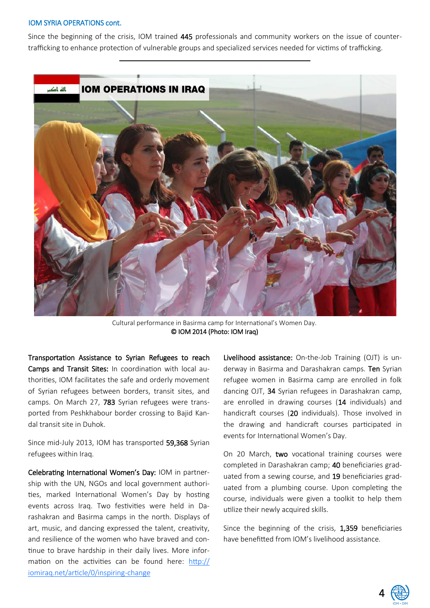#### IOM SYRIA OPERATIONS cont.

Since the beginning of the crisis, IOM trained 445 professionals and community workers on the issue of countertrafficking to enhance protection of vulnerable groups and specialized services needed for victims of trafficking.



Cultural performance in Basirma camp for International's Women Day. © IOM 2014 (Photo: IOM Iraq)

Transportation Assistance to Syrian Refugees to reach Camps and Transit Sites: In coordination with local authorities, IOM facilitates the safe and orderly movement of Syrian refugees between borders, transit sites, and camps. On March 27, 783 Syrian refugees were transported from Peshkhabour border crossing to Bajid Kandal transit site in Duhok.

Since mid-July 2013, IOM has transported 59,368 Syrian refugees within Iraq.

Celebrating International Women's Day: IOM in partnership with the UN, NGOs and local government authorities, marked International Women's Day by hosting events across Iraq. Two festivities were held in Darashakran and Basirma camps in the north. Displays of art, music, and dancing expressed the talent, creativity, and resilience of the women who have braved and continue to brave hardship in their daily lives. More information on the activities can be found here: http:// iomiraq.net/article/0/inspiring-change

Livelihood assistance: On-the-Job Training (OJT) is underway in Basirma and Darashakran camps. Ten Syrian refugee women in Basirma camp are enrolled in folk dancing OJT, 34 Syrian refugees in Darashakran camp, are enrolled in drawing courses (14 individuals) and handicraft courses (20 individuals). Those involved in the drawing and handicraft courses participated in events for International Women's Day.

On 20 March, two vocational training courses were completed in Darashakran camp; 40 beneficiaries graduated from a sewing course, and 19 beneficiaries graduated from a plumbing course. Upon completing the course, individuals were given a toolkit to help them utilize their newly acquired skills.

Since the beginning of the crisis, 1,359 beneficiaries have benefitted from IOM's livelihood assistance.

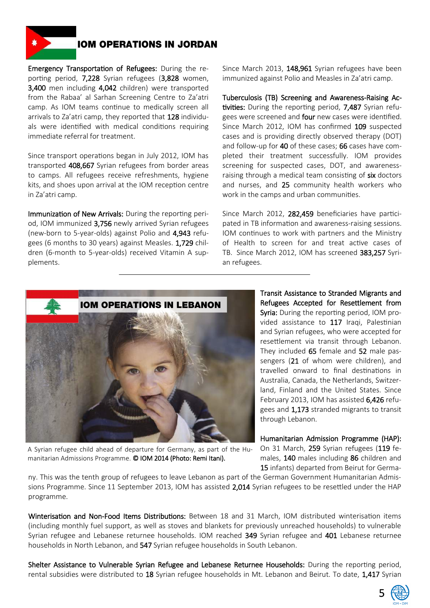

## **IOM OPERATIONS IN JORDAN**

Emergency Transportation of Refugees: During the reporting period, 7,228 Syrian refugees (3,828 women, 3,400 men including 4,042 children) were transported from the Rabaa' al Sarhan Screening Centre to Za'atri camp. As IOM teams continue to medically screen all arrivals to Za'atri camp, they reported that 128 individuals were identified with medical conditions requiring immediate referral for treatment.

Since transport operations began in July 2012, IOM has transported 408,667 Syrian refugees from border areas to camps. All refugees receive refreshments, hygiene kits, and shoes upon arrival at the IOM reception centre in Za'atri camp.

Immunization of New Arrivals: During the reporting period, IOM immunized 3,756 newly arrived Syrian refugees (new-born to 5-year-olds) against Polio and 4,943 refugees (6 months to 30 years) against Measles. 1,729 children (6-month to 5-year-olds) received Vitamin A supplements.

Since March 2013, 148,961 Syrian refugees have been immunized against Polio and Measles in Za'atri camp.

Tuberculosis (TB) Screening and Awareness-Raising Activities: During the reporting period, 7,487 Syrian refugees were screened and four new cases were identified. Since March 2012, IOM has confirmed 109 suspected cases and is providing directly observed therapy (DOT) and follow-up for 40 of these cases; 66 cases have completed their treatment successfully. IOM provides screening for suspected cases, DOT, and awarenessraising through a medical team consisting of six doctors and nurses, and 25 community health workers who work in the camps and urban communities.

Since March 2012, 282,459 beneficiaries have participated in TB information and awareness-raising sessions. IOM continues to work with partners and the Ministry of Health to screen for and treat active cases of TB. Since March 2012, IOM has screened 383,257 Syrian refugees.



A Syrian refugee child ahead of departure for Germany, as part of the Humanitarian Admissions Programme. © IOM 2014 (Photo: Remi Itani).

Transit Assistance to Stranded Migrants and Refugees Accepted for Resettlement from Syria: During the reporting period, IOM provided assistance to 117 Iraqi, Palestinian and Syrian refugees, who were accepted for resettlement via transit through Lebanon. They included 65 female and 52 male passengers (21 of whom were children), and travelled onward to final destinations in Australia, Canada, the Netherlands, Switzerland, Finland and the United States. Since February 2013, IOM has assisted 6.426 refugees and 1,173 stranded migrants to transit through Lebanon.

Humanitarian Admission Programme (HAP): On 31 March, 259 Syrian refugees (119 females, 140 males including 86 children and 15 infants) departed from Beirut for Germa-

ny. This was the tenth group of refugees to leave Lebanon as part of the German Government Humanitarian Admissions Programme. Since 11 September 2013, IOM has assisted 2,014 Syrian refugees to be resettled under the HAP programme.

Winterisation and Non-Food Items Distributions: Between 18 and 31 March, IOM distributed winterisation items (including monthly fuel support, as well as stoves and blankets for previously unreached households) to vulnerable Syrian refugee and Lebanese returnee households. IOM reached 349 Syrian refugee and 401 Lebanese returnee households in North Lebanon, and 547 Syrian refugee households in South Lebanon.

Shelter Assistance to Vulnerable Syrian Refugee and Lebanese Returnee Households: During the reporting period, rental subsidies were distributed to 18 Syrian refugee households in Mt. Lebanon and Beirut. To date, 1,417 Syrian

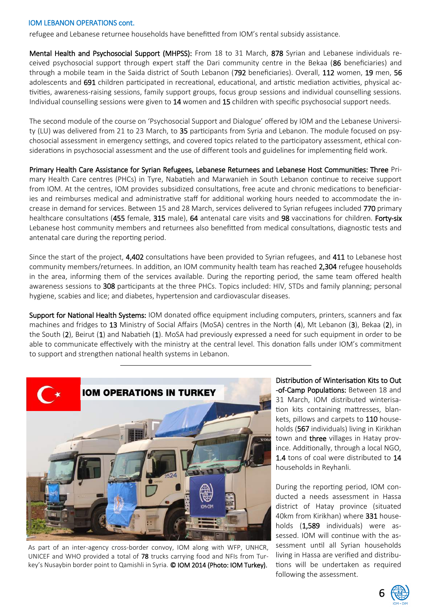### IOM LEBANON OPERATIONS cont.

refugee and Lebanese returnee households have benefitted from IOM's rental subsidy assistance.

Mental Health and Psychosocial Support (MHPSS): From 18 to 31 March, 878 Syrian and Lebanese individuals received psychosocial support through expert staff the Dari community centre in the Bekaa (86 beneficiaries) and through a mobile team in the Saida district of South Lebanon (792 beneficiaries). Overall, 112 women, 19 men, 56 adolescents and 691 children participated in recreational, educational, and artistic mediation activities, physical activities, awareness-raising sessions, family support groups, focus group sessions and individual counselling sessions. Individual counselling sessions were given to 14 women and 15 children with specific psychosocial support needs.

The second module of the course on 'Psychosocial Support and Dialogue' offered by IOM and the Lebanese University (LU) was delivered from 21 to 23 March, to 35 participants from Syria and Lebanon. The module focused on psychosocial assessment in emergency settings, and covered topics related to the participatory assessment, ethical considerations in psychosocial assessment and the use of different tools and guidelines for implementing field work.

Primary Health Care Assistance for Syrian Refugees, Lebanese Returnees and Lebanese Host Communities: Three Primary Health Care centres (PHCs) in Tyre, Nabatieh and Marwanieh in South Lebanon continue to receive support from IOM. At the centres, IOM provides subsidized consultations, free acute and chronic medications to beneficiaries and reimburses medical and administrative staff for additional working hours needed to accommodate the increase in demand for services. Between 15 and 28 March, services delivered to Syrian refugees included 770 primary healthcare consultations (455 female, 315 male), 64 antenatal care visits and 98 vaccinations for children. Forty-six Lebanese host community members and returnees also benefitted from medical consultations, diagnostic tests and antenatal care during the reporting period.

Since the start of the project, 4,402 consultations have been provided to Syrian refugees, and 411 to Lebanese host community members/returnees. In addition, an IOM community health team has reached 2,304 refugee households in the area, informing them of the services available. During the reporting period, the same team offered health awareness sessions to 308 participants at the three PHCs. Topics included: HIV, STDs and family planning; personal hygiene, scabies and lice; and diabetes, hypertension and cardiovascular diseases.

Support for National Health Systems: IOM donated office equipment including computers, printers, scanners and fax machines and fridges to 13 Ministry of Social Affairs (MoSA) centres in the North (4), Mt Lebanon (3), Bekaa (2), in the South (2), Beirut (1) and Nabatieh (1). MoSA had previously expressed a need for such equipment in order to be able to communicate effectively with the ministry at the central level. This donation falls under IOM's commitment to support and strengthen national health systems in Lebanon.



As part of an inter-agency cross-border convoy, IOM along with WFP, UNHCR, UNICEF and WHO provided a total of 78 trucks carrying food and NFIs from Turkey's Nusaybin border point to Qamishli in Syria. © IOM 2014 (Photo: IOM Turkey).

Distribution of Winterisation Kits to Out -of-Camp Populations: Between 18 and 31 March, IOM distributed winterisation kits containing mattresses, blankets, pillows and carpets to 110 households (567 individuals) living in Kirikhan town and three villages in Hatay province. Additionally, through a local NGO, 1.4 tons of coal were distributed to 14 households in Reyhanli.

During the reporting period, IOM conducted a needs assessment in Hassa district of Hatay province (situated 40km from Kirikhan) where 331 households (1,589 individuals) were assessed. IOM will continue with the assessment until all Syrian households living in Hassa are verified and distributions will be undertaken as required following the assessment.

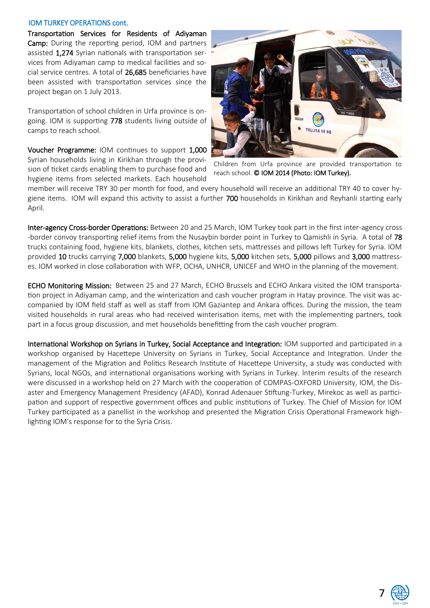### IOM TURKEY OPERATIONS cont.

Transportation Services for Residents of Adiyaman Camp: During the reporting period, IOM and partners assisted 1,274 Syrian nationals with transportation services from Adiyaman camp to medical facilities and social service centres. A total of 26,685 beneficiaries have been assisted with transportation services since the project began on 1 July 2013.

Transportation of school children in Urfa province is ongoing. IOM is supporting 778 students living outside of camps to reach school.

Voucher Programme: IOM continues to support 1,000 Syrian households living in Kirikhan through the provision of ticket cards enabling them to purchase food and hygiene items from selected markets. Each household



Children from Urfa province are provided transportation to reach school. © IOM 2014 (Photo: IOM Turkey).

member will receive TRY 30 per month for food, and every household will receive an additional TRY 40 to cover hygiene items. IOM will expand this activity to assist a further 700 households in Kirikhan and Reyhanli starting early April.

Inter-agency Cross-border Operations: Between 20 and 25 March, IOM Turkey took part in the first inter-agency cross -border convoy transporting relief items from the Nusaybin border point in Turkey to Qamishli in Syria. A total of 78 trucks containing food, hygiene kits, blankets, clothes, kitchen sets, mattresses and pillows left Turkey for Syria. IOM provided 10 trucks carrying 7,000 blankets, 5,000 hygiene kits, 5,000 kitchen sets, 5,000 pillows and 3,000 mattresses. IOM worked in close collaboration with WFP, OCHA, UNHCR, UNICEF and WHO in the planning of the movement.

ECHO Monitoring Mission: Between 25 and 27 March, ECHO Brussels and ECHO Ankara visited the IOM transportation project in Adiyaman camp, and the winterization and cash voucher program in Hatay province. The visit was accompanied by IOM field staff as well as staff from IOM Gaziantep and Ankara offices. During the mission, the team visited households in rural areas who had received winterisation items, met with the implementing partners, took part in a focus group discussion, and met households benefitting from the cash voucher program.

International Workshop on Syrians in Turkey, Social Acceptance and Integration: IOM supported and participated in a workshop organised by Hacettepe University on Syrians in Turkey, Social Acceptance and Integration. Under the management of the Migration and Politics Research Institute of Hacettepe University, a study was conducted with Syrians, local NGOs, and international organisations working with Syrians in Turkey. İnterim results of the research were discussed in a workshop held on 27 March with the cooperation of COMPAS-OXFORD University, IOM, the Disaster and Emergency Management Presidency (AFAD), Konrad Adenauer Stiftung-Turkey, Mirekoc as well as participation and support of respective government offices and public institutions of Turkey. The Chief of Mission for IOM Turkey participated as a panellist in the workshop and presented the Migration Crisis Operational Framework highlighting IOM's response for to the Syria Crisis.